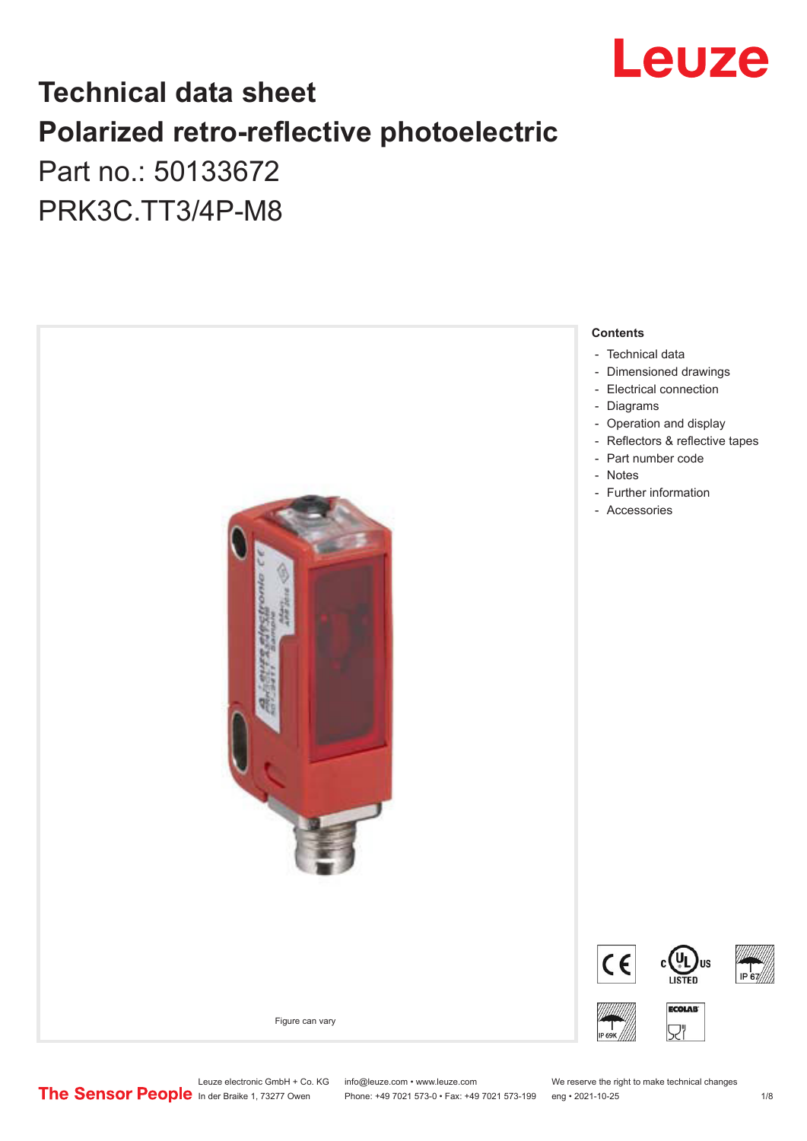

# **Technical data sheet Polarized retro-reflective photoelectric**  Part no.: 50133672

PRK3C.TT3/4P-M8



Phone: +49 7021 573-0 • Fax: +49 7021 573-199 eng • 2021-10-25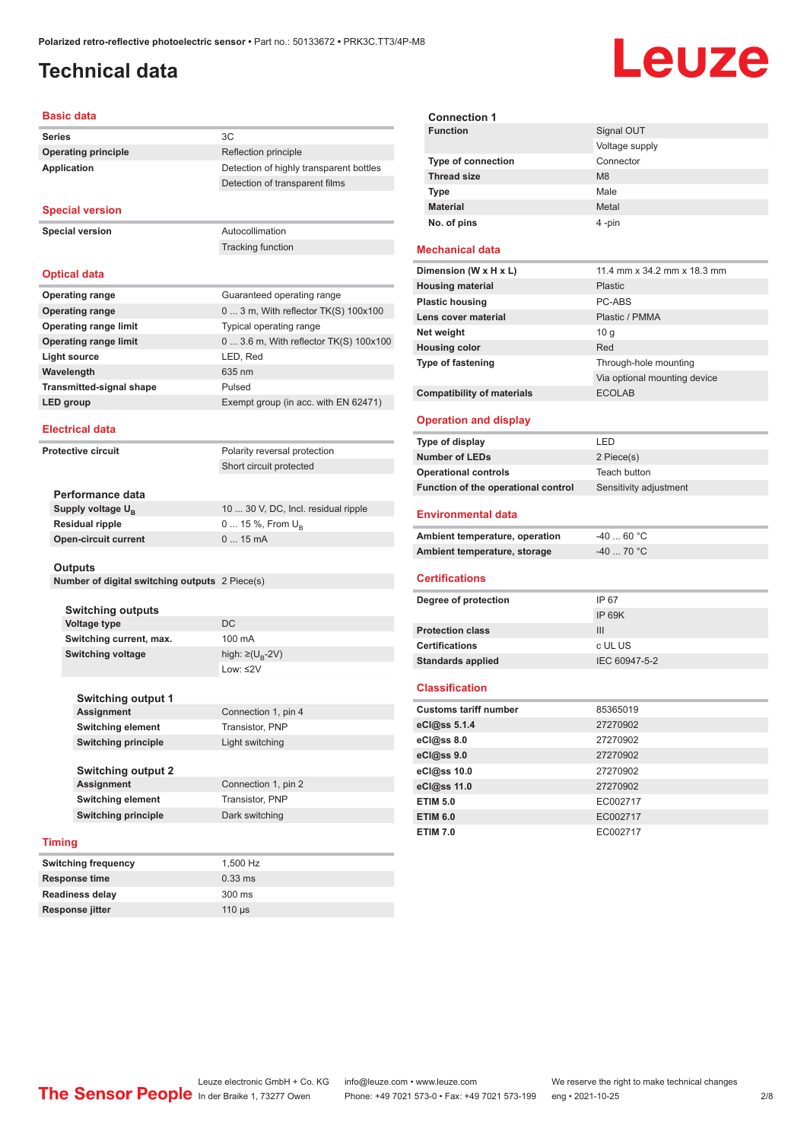# <span id="page-1-0"></span>**Technical data**

# Leuze

| <b>Basic data</b>               |                                         |
|---------------------------------|-----------------------------------------|
| <b>Series</b>                   | 3C                                      |
| <b>Operating principle</b>      | Reflection principle                    |
| <b>Application</b>              | Detection of highly transparent bottles |
|                                 | Detection of transparent films          |
| <b>Special version</b>          |                                         |
| <b>Special version</b>          | Autocollimation                         |
|                                 | <b>Tracking function</b>                |
| <b>Optical data</b>             |                                         |
| <b>Operating range</b>          | Guaranteed operating range              |
| <b>Operating range</b>          | $03$ m, With reflector TK(S) $100x100$  |
| <b>Operating range limit</b>    | Typical operating range                 |
| <b>Operating range limit</b>    | 0  3.6 m, With reflector TK(S) 100x100  |
| <b>Light source</b>             | LED, Red                                |
| Wavelength                      | 635 nm                                  |
| <b>Transmitted-signal shape</b> | Pulsed                                  |
| <b>LED</b> group                | Exempt group (in acc. with EN 62471)    |
| <b>Electrical data</b>          |                                         |
| <b>Protective circuit</b>       | Polarity reversal protection            |
|                                 | Short circuit protected                 |

| Performance data              |                                     |
|-------------------------------|-------------------------------------|
| Supply voltage U <sub>P</sub> | 10  30 V, DC, Incl. residual ripple |
| Residual ripple               | 0  15 %, From $U_{\rm B}$           |
| Open-circuit current          | $015$ mA                            |
|                               |                                     |

### **Outputs**

|  |  |  | <b>Number of digital switching outputs</b> 2 Piece(s) |  |  |
|--|--|--|-------------------------------------------------------|--|--|
|--|--|--|-------------------------------------------------------|--|--|

| <b>Switching outputs</b> |                                   |
|--------------------------|-----------------------------------|
| Voltage type             | DC.                               |
| Switching current, max.  | 100 mA                            |
| Switching voltage        | high: $\geq$ (U <sub>p</sub> -2V) |
|                          | $1.211 - 2011$                    |

**Switching current, max.** 100 mA Low: ≤2V

| <b>Switching output 1</b>  |                     |
|----------------------------|---------------------|
| <b>Assignment</b>          | Connection 1, pin 4 |
| <b>Switching element</b>   | Transistor, PNP     |
| <b>Switching principle</b> | Light switching     |
|                            |                     |

| Switching output 2  |                     |
|---------------------|---------------------|
| Assignment          | Connection 1, pin 2 |
| Switching element   | Transistor, PNP     |
| Switching principle | Dark switching      |

### **Timing**

| <b>Switching frequency</b> | 1.500 Hz         |
|----------------------------|------------------|
| <b>Response time</b>       | $0.33$ ms        |
| <b>Readiness delay</b>     | $300 \text{ ms}$ |
| Response jitter            | $110$ us         |

| <b>Connection 1</b>       |                |
|---------------------------|----------------|
| <b>Function</b>           | Signal OUT     |
|                           | Voltage supply |
| <b>Type of connection</b> | Connector      |
| <b>Thread size</b>        | M8             |
| <b>Type</b>               | Male           |
| <b>Material</b>           | Metal          |
| No. of pins               | 4-pin          |

### **Mechanical data**

| Dimension (W x H x L)             | 11.4 mm x 34.2 mm x 18.3 mm  |
|-----------------------------------|------------------------------|
| <b>Housing material</b>           | <b>Plastic</b>               |
| <b>Plastic housing</b>            | PC-ABS                       |
| Lens cover material               | Plastic / PMMA               |
| Net weight                        | 10q                          |
| <b>Housing color</b>              | Red                          |
| <b>Type of fastening</b>          | Through-hole mounting        |
|                                   | Via optional mounting device |
| <b>Compatibility of materials</b> | <b>ECOLAB</b>                |

### **Operation and display**

| Type of display                     | I FD                   |
|-------------------------------------|------------------------|
| <b>Number of LEDs</b>               | 2 Piece(s)             |
| <b>Operational controls</b>         | Teach button           |
| Function of the operational control | Sensitivity adjustment |

#### **Environmental data**

| Ambient temperature, operation | -40  60 °C                       |
|--------------------------------|----------------------------------|
| Ambient temperature, storage   | $-40$ 70 $^{\circ}$ C $^{\circ}$ |

### **Certifications**

| Degree of protection     | IP 67         |
|--------------------------|---------------|
|                          | IP 69K        |
| <b>Protection class</b>  | Ш             |
| <b>Certifications</b>    | c UL US       |
| <b>Standards applied</b> | IEC 60947-5-2 |
|                          |               |

### **Classification**

| <b>Customs tariff number</b> | 85365019 |  |
|------------------------------|----------|--|
| eCl@ss 5.1.4                 | 27270902 |  |
| eCl@ss 8.0                   | 27270902 |  |
| eCl@ss 9.0                   | 27270902 |  |
| eCl@ss 10.0                  | 27270902 |  |
| eCl@ss 11.0                  | 27270902 |  |
| <b>ETIM 5.0</b>              | EC002717 |  |
| <b>ETIM 6.0</b>              | EC002717 |  |
| <b>ETIM 7.0</b>              | EC002717 |  |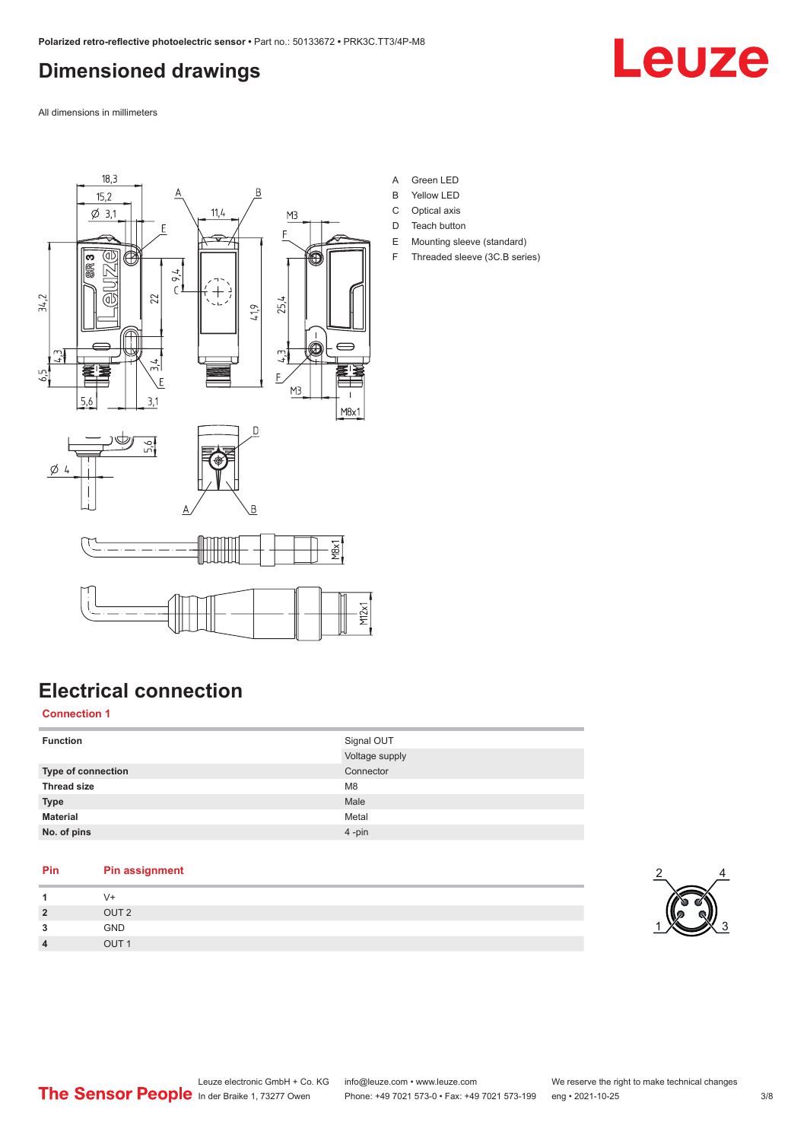# <span id="page-2-0"></span>**Dimensioned drawings**



All dimensions in millimeters



**Electrical connection**

### **Connection 1**

| <b>Function</b>    | Signal OUT<br>Voltage supply |
|--------------------|------------------------------|
| Type of connection | Connector                    |
| <b>Thread size</b> | M <sub>8</sub>               |
| <b>Type</b>        | Male                         |
| <b>Material</b>    | Metal                        |
| No. of pins        | $4 - pin$                    |

| Pin | <b>Pin assignment</b> |
|-----|-----------------------|
|     | V+                    |
| 2   | OUT <sub>2</sub>      |
| っ   | <b>GND</b>            |
|     | OUT <sub>1</sub>      |
|     |                       |

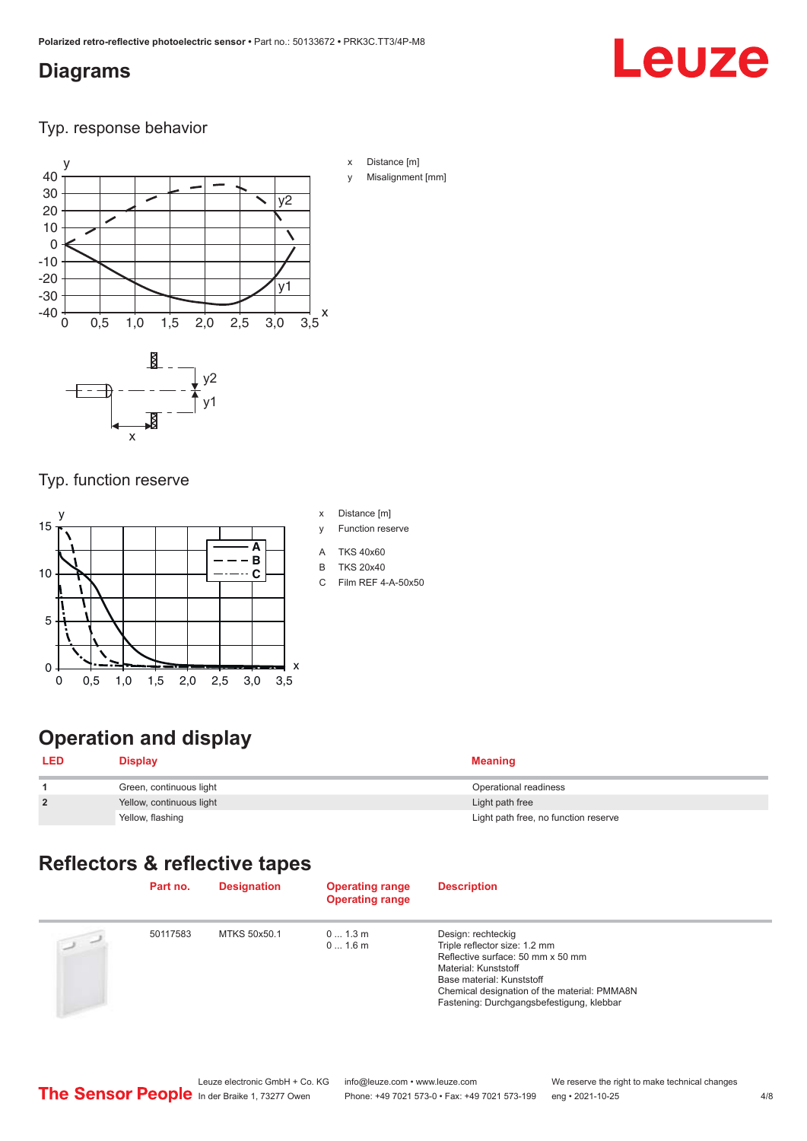## <span id="page-3-0"></span>**Diagrams**

# Leuze

Typ. response behavior



- x Distance [m]
- Misalignment [mm]

### Typ. function reserve

x



- x Distance [m]
- y Function reserve
- A TKS 40x60
- B TKS 20x40
- C Film REF 4-A-50x50

# **Operation and display**

| LED            | Display                  | <b>Meaning</b>                       |
|----------------|--------------------------|--------------------------------------|
|                | Green, continuous light  | Operational readiness                |
| $\overline{2}$ | Yellow, continuous light | Light path free                      |
|                | Yellow, flashing         | Light path free, no function reserve |

# **Reflectors & reflective tapes**

|               | Part no. | <b>Designation</b> | <b>Operating range</b><br><b>Operating range</b> | <b>Description</b>                                                                                                                                                                                                                         |
|---------------|----------|--------------------|--------------------------------------------------|--------------------------------------------------------------------------------------------------------------------------------------------------------------------------------------------------------------------------------------------|
| $\frac{1}{2}$ | 50117583 | MTKS 50x50.1       | 01.3m<br>$01.6$ m                                | Design: rechteckig<br>Triple reflector size: 1.2 mm<br>Reflective surface: 50 mm x 50 mm<br>Material: Kunststoff<br>Base material: Kunststoff<br>Chemical designation of the material: PMMA8N<br>Fastening: Durchgangsbefestigung, klebbar |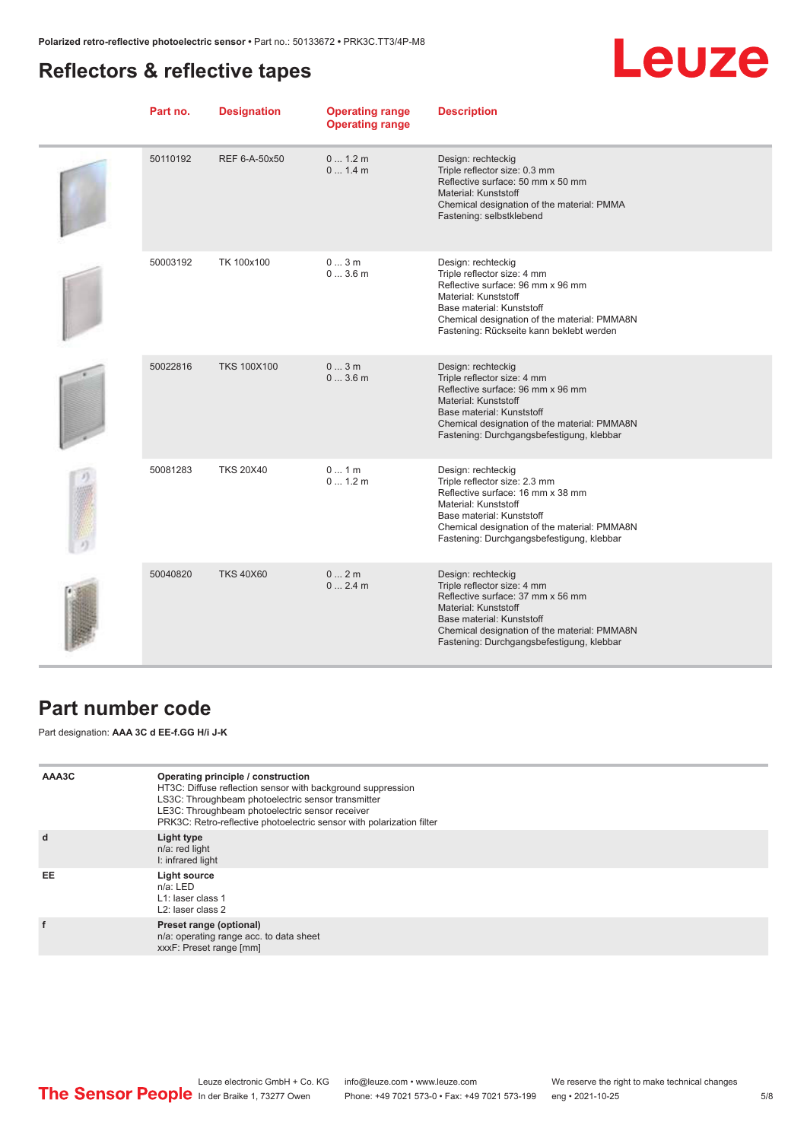# <span id="page-4-0"></span>**Reflectors & reflective tapes**

# Leuze

| Part no. | <b>Designation</b> | <b>Operating range</b><br><b>Operating range</b> | <b>Description</b>                                                                                                                                                                                                                         |
|----------|--------------------|--------------------------------------------------|--------------------------------------------------------------------------------------------------------------------------------------------------------------------------------------------------------------------------------------------|
| 50110192 | REF 6-A-50x50      | 0 1.2 m<br>01.4m                                 | Design: rechteckig<br>Triple reflector size: 0.3 mm<br>Reflective surface: 50 mm x 50 mm<br>Material: Kunststoff<br>Chemical designation of the material: PMMA<br>Fastening: selbstklebend                                                 |
| 50003192 | TK 100x100         | 03m<br>03.6m                                     | Design: rechteckig<br>Triple reflector size: 4 mm<br>Reflective surface: 96 mm x 96 mm<br>Material: Kunststoff<br>Base material: Kunststoff<br>Chemical designation of the material: PMMA8N<br>Fastening: Rückseite kann beklebt werden    |
| 50022816 | <b>TKS 100X100</b> | 03m<br>03.6m                                     | Design: rechteckig<br>Triple reflector size: 4 mm<br>Reflective surface: 96 mm x 96 mm<br>Material: Kunststoff<br>Base material: Kunststoff<br>Chemical designation of the material: PMMA8N<br>Fastening: Durchgangsbefestigung, klebbar   |
| 50081283 | <b>TKS 20X40</b>   | 01m<br>01.2m                                     | Design: rechteckig<br>Triple reflector size: 2.3 mm<br>Reflective surface: 16 mm x 38 mm<br>Material: Kunststoff<br>Base material: Kunststoff<br>Chemical designation of the material: PMMA8N<br>Fastening: Durchgangsbefestigung, klebbar |
| 50040820 | <b>TKS 40X60</b>   | 02m<br>02.4m                                     | Design: rechteckig<br>Triple reflector size: 4 mm<br>Reflective surface: 37 mm x 56 mm<br>Material: Kunststoff<br>Base material: Kunststoff<br>Chemical designation of the material: PMMA8N<br>Fastening: Durchgangsbefestigung, klebbar   |

## **Part number code**

Part designation: **AAA 3C d EE-f.GG H/i J-K**

| AAA3C | Operating principle / construction<br>HT3C: Diffuse reflection sensor with background suppression<br>LS3C: Throughbeam photoelectric sensor transmitter<br>LE3C: Throughbeam photoelectric sensor receiver<br>PRK3C: Retro-reflective photoelectric sensor with polarization filter |
|-------|-------------------------------------------------------------------------------------------------------------------------------------------------------------------------------------------------------------------------------------------------------------------------------------|
| d     | Light type<br>n/a: red light<br>I: infrared light                                                                                                                                                                                                                                   |
| EE    | Light source<br>$n/a$ : LED<br>L1: laser class 1<br>L <sub>2</sub> : laser class 2                                                                                                                                                                                                  |
|       | Preset range (optional)<br>n/a: operating range acc. to data sheet<br>xxxF: Preset range [mm]                                                                                                                                                                                       |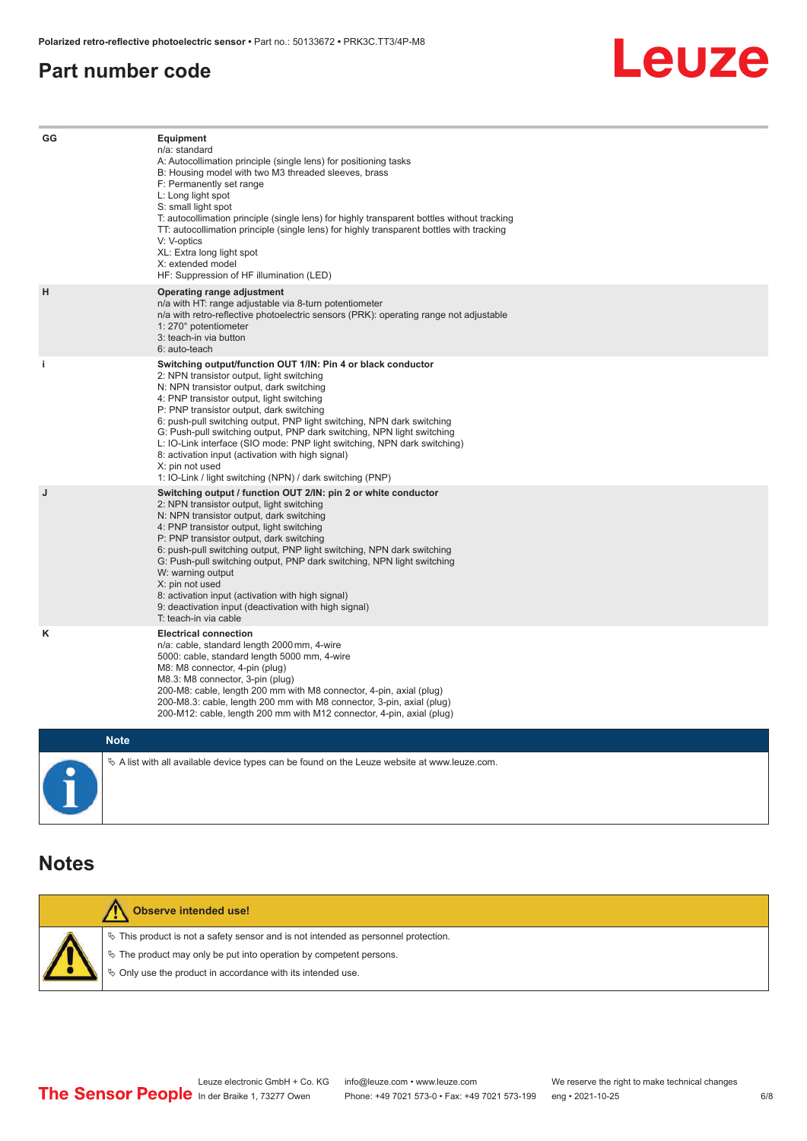## <span id="page-5-0"></span>**Part number code**



| GG          | Equipment<br>n/a: standard<br>A: Autocollimation principle (single lens) for positioning tasks<br>B: Housing model with two M3 threaded sleeves, brass<br>F: Permanently set range<br>L: Long light spot<br>S: small light spot<br>T: autocollimation principle (single lens) for highly transparent bottles without tracking<br>TT: autocollimation principle (single lens) for highly transparent bottles with tracking<br>V: V-optics<br>XL: Extra long light spot<br>X: extended model<br>HF: Suppression of HF illumination (LED)                                                                              |
|-------------|---------------------------------------------------------------------------------------------------------------------------------------------------------------------------------------------------------------------------------------------------------------------------------------------------------------------------------------------------------------------------------------------------------------------------------------------------------------------------------------------------------------------------------------------------------------------------------------------------------------------|
| н           | Operating range adjustment<br>n/a with HT: range adjustable via 8-turn potentiometer<br>n/a with retro-reflective photoelectric sensors (PRK): operating range not adjustable<br>1: 270° potentiometer<br>3: teach-in via button<br>6: auto-teach                                                                                                                                                                                                                                                                                                                                                                   |
| i.          | Switching output/function OUT 1/IN: Pin 4 or black conductor<br>2: NPN transistor output, light switching<br>N: NPN transistor output, dark switching<br>4: PNP transistor output, light switching<br>P: PNP transistor output, dark switching<br>6: push-pull switching output, PNP light switching, NPN dark switching<br>G: Push-pull switching output, PNP dark switching, NPN light switching<br>L: IO-Link interface (SIO mode: PNP light switching, NPN dark switching)<br>8: activation input (activation with high signal)<br>X: pin not used<br>1: IO-Link / light switching (NPN) / dark switching (PNP) |
| J           | Switching output / function OUT 2/IN: pin 2 or white conductor<br>2: NPN transistor output, light switching<br>N: NPN transistor output, dark switching<br>4: PNP transistor output, light switching<br>P: PNP transistor output, dark switching<br>6: push-pull switching output, PNP light switching, NPN dark switching<br>G: Push-pull switching output, PNP dark switching, NPN light switching<br>W: warning output<br>X: pin not used<br>8: activation input (activation with high signal)<br>9: deactivation input (deactivation with high signal)<br>T: teach-in via cable                                 |
| κ           | <b>Electrical connection</b><br>n/a: cable, standard length 2000 mm, 4-wire<br>5000: cable, standard length 5000 mm, 4-wire<br>M8: M8 connector, 4-pin (plug)<br>M8.3: M8 connector, 3-pin (plug)<br>200-M8: cable, length 200 mm with M8 connector, 4-pin, axial (plug)<br>200-M8.3: cable, length 200 mm with M8 connector, 3-pin, axial (plug)<br>200-M12: cable, length 200 mm with M12 connector, 4-pin, axial (plug)                                                                                                                                                                                          |
| <b>Note</b> |                                                                                                                                                                                                                                                                                                                                                                                                                                                                                                                                                                                                                     |

 $\%$  A list with all available device types can be found on the Leuze website at www.leuze.com.

## **Notes**

| Observe intended use!                                                                 |
|---------------------------------------------------------------------------------------|
| $\%$ This product is not a safety sensor and is not intended as personnel protection. |
| $\&$ The product may only be put into operation by competent persons.                 |
| ♦ Only use the product in accordance with its intended use.                           |
|                                                                                       |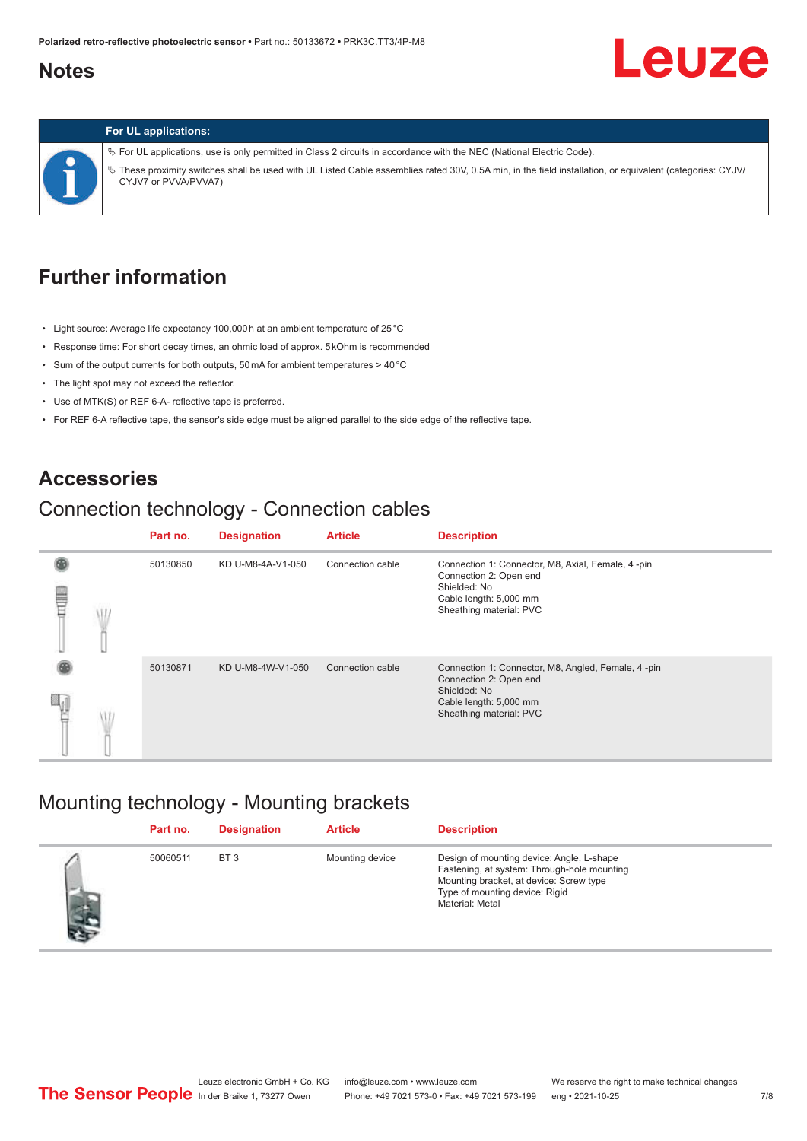## <span id="page-6-0"></span>**Notes**

# **Leuze**

### **For UL applications:**

ª For UL applications, use is only permitted in Class 2 circuits in accordance with the NEC (National Electric Code). ª These proximity switches shall be used with UL Listed Cable assemblies rated 30V, 0.5A min, in the field installation, or equivalent (categories: CYJV/ CYJV7 or PVVA/PVVA7)

## **Further information**

- Light source: Average life expectancy 100,000 h at an ambient temperature of 25 °C
- Response time: For short decay times, an ohmic load of approx. 5 kOhm is recommended
- Sum of the output currents for both outputs, 50 mA for ambient temperatures > 40 °C
- The light spot may not exceed the reflector.
- Use of MTK(S) or REF 6-A- reflective tape is preferred.
- For REF 6-A reflective tape, the sensor's side edge must be aligned parallel to the side edge of the reflective tape.

### **Accessories**

# Connection technology - Connection cables

|   | Part no. | <b>Designation</b> | <b>Article</b>   | <b>Description</b>                                                                                                                                |
|---|----------|--------------------|------------------|---------------------------------------------------------------------------------------------------------------------------------------------------|
| ₩ | 50130850 | KD U-M8-4A-V1-050  | Connection cable | Connection 1: Connector, M8, Axial, Female, 4 -pin<br>Connection 2: Open end<br>Shielded: No<br>Cable length: 5,000 mm<br>Sheathing material: PVC |
|   | 50130871 | KD U-M8-4W-V1-050  | Connection cable | Connection 1: Connector, M8, Angled, Female, 4-pin<br>Connection 2: Open end<br>Shielded: No<br>Cable length: 5,000 mm<br>Sheathing material: PVC |

## Mounting technology - Mounting brackets

|           | Part no. | <b>Designation</b> | <b>Article</b>  | <b>Description</b>                                                                                                                                                                       |
|-----------|----------|--------------------|-----------------|------------------------------------------------------------------------------------------------------------------------------------------------------------------------------------------|
| あんし こうしょう | 50060511 | BT <sub>3</sub>    | Mounting device | Design of mounting device: Angle, L-shape<br>Fastening, at system: Through-hole mounting<br>Mounting bracket, at device: Screw type<br>Type of mounting device: Rigid<br>Material: Metal |